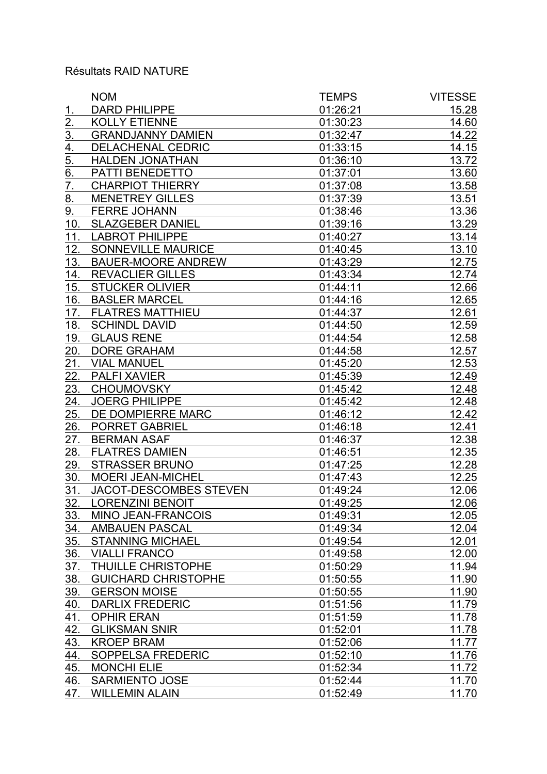## Résultats RAID NATURE

|                  | <b>NOM</b>                 | <b>TEMPS</b> | <b>VITESSE</b> |
|------------------|----------------------------|--------------|----------------|
| 1.               | <b>DARD PHILIPPE</b>       | 01:26:21     | 15.28          |
| $\overline{2}$ . | <b>KOLLY ETIENNE</b>       | 01:30:23     | 14.60          |
| $\overline{3}$ . | <b>GRANDJANNY DAMIEN</b>   | 01:32:47     | 14.22          |
| $\overline{4}$ . | <b>DELACHENAL CEDRIC</b>   | 01:33:15     | 14.15          |
| 5.               | <b>HALDEN JONATHAN</b>     | 01:36:10     | 13.72          |
| 6.               | PATTI BENEDETTO            | 01:37:01     | 13.60          |
| 7.               | <b>CHARPIOT THIERRY</b>    | 01:37:08     | 13.58          |
| 8.               | <b>MENETREY GILLES</b>     | 01:37:39     | 13.51          |
| 9.               | <b>FERRE JOHANN</b>        | 01:38:46     | 13.36          |
| 10.              | <b>SLAZGEBER DANIEL</b>    | 01:39:16     | 13.29          |
| 11.              | <b>LABROT PHILIPPE</b>     | 01:40:27     | 13.14          |
| 12.              | SONNEVILLE MAURICE         | 01:40:45     | 13.10          |
| 13.              | <b>BAUER-MOORE ANDREW</b>  | 01:43:29     | 12.75          |
| 14.              | <b>REVACLIER GILLES</b>    | 01:43:34     | 12.74          |
| 15.              | <b>STUCKER OLIVIER</b>     | 01:44:11     | 12.66          |
| 16.              | <b>BASLER MARCEL</b>       | 01:44:16     | 12.65          |
| 17.              | <b>FLATRES MATTHIEU</b>    | 01:44:37     | 12.61          |
| 18.              | <b>SCHINDL DAVID</b>       | 01:44:50     | 12.59          |
| 19.              | <b>GLAUS RENE</b>          | 01:44:54     | 12.58          |
| 20.              | <b>DORE GRAHAM</b>         | 01:44:58     | 12.57          |
| <u>21.</u>       | <b>VIAL MANUEL</b>         | 01:45:20     | 12.53          |
| 22.              | <b>PALFI XAVIER</b>        | 01:45:39     | 12.49          |
| 23.              | <b>CHOUMOVSKY</b>          | 01:45:42     | 12.48          |
| 24.              | <b>JOERG PHILIPPE</b>      | 01:45:42     | 12.48          |
| 25.              | DE DOMPIERRE MARC          | 01:46:12     | 12.42          |
| 26.              | <b>PORRET GABRIEL</b>      | 01:46:18     | 12.41          |
| 27.              | <b>BERMAN ASAF</b>         | 01:46:37     | 12.38          |
| 28.              | <b>FLATRES DAMIEN</b>      | 01:46:51     | 12.35          |
| 29.              | <b>STRASSER BRUNO</b>      | 01:47:25     | 12.28          |
| 30.              | <b>MOERI JEAN-MICHEL</b>   | 01:47:43     | 12.25          |
| 31.              | JACOT-DESCOMBES STEVEN     | 01:49:24     | 12.06          |
| <u>32.</u>       | <b>LORENZINI BENOIT</b>    | 01:49:25     | 12.06          |
| 33.              | MINO JEAN-FRANCOIS         | 01:49:31     | 12.05          |
| 34.              | <b>AMBAUEN PASCAL</b>      | 01:49:34     | 12.04          |
| 35.              | <b>STANNING MICHAEL</b>    | 01:49:54     | 12.01          |
| 36.              | <b>VIALLI FRANCO</b>       | 01:49:58     | 12.00          |
| 37.              | THUILLE CHRISTOPHE         | 01:50:29     | 11.94          |
| 38.              | <b>GUICHARD CHRISTOPHE</b> | 01:50:55     | 11.90          |
| 39.              | <b>GERSON MOISE</b>        | 01:50:55     | 11.90          |
| 40.              | <b>DARLIX FREDERIC</b>     | 01:51:56     | 11.79          |
| 41.              | <b>OPHIR ERAN</b>          | 01:51:59     | 11.78          |
| 42.              | <b>GLIKSMAN SNIR</b>       | 01:52:01     | 11.78          |
| 43.              | <b>KROEP BRAM</b>          | 01:52:06     | 11.77          |
| 44.              | SOPPELSA FREDERIC          | 01:52:10     | 11.76          |
| 45.              | <b>MONCHI ELIE</b>         | 01:52:34     | 11.72          |
| 46.              | <b>SARMIENTO JOSE</b>      | 01:52:44     | 11.70          |
| 47.              | <b>WILLEMIN ALAIN</b>      | 01:52:49     | 11.70          |
|                  |                            |              |                |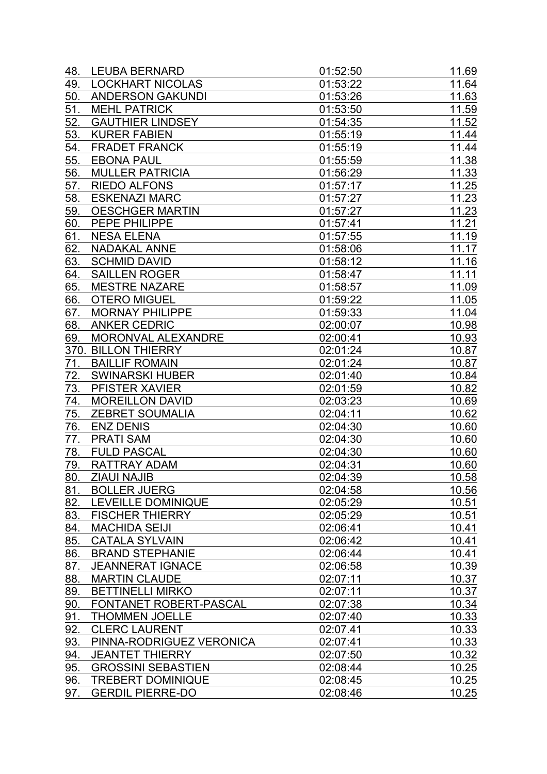| 48. | <b>LEUBA BERNARD</b>      | 01:52:50 | 11.69 |
|-----|---------------------------|----------|-------|
| 49. | <b>LOCKHART NICOLAS</b>   | 01:53:22 | 11.64 |
| 50. | <b>ANDERSON GAKUNDI</b>   | 01:53:26 | 11.63 |
| 51. | <b>MEHL PATRICK</b>       | 01:53:50 | 11.59 |
| 52. | <b>GAUTHIER LINDSEY</b>   | 01:54:35 | 11.52 |
| 53. | <b>KURER FABIEN</b>       | 01:55:19 | 11.44 |
| 54. | <b>FRADET FRANCK</b>      | 01:55:19 | 11.44 |
| 55. | <b>EBONA PAUL</b>         | 01:55:59 | 11.38 |
| 56. | <b>MULLER PATRICIA</b>    | 01:56:29 | 11.33 |
| 57. | <b>RIEDO ALFONS</b>       | 01:57:17 | 11.25 |
| 58. | <b>ESKENAZI MARC</b>      | 01:57:27 | 11.23 |
| 59. | <b>OESCHGER MARTIN</b>    | 01:57:27 | 11.23 |
| 60. | PEPE PHILIPPE             | 01:57:41 | 11.21 |
| 61. | <b>NESA ELENA</b>         | 01:57:55 | 11.19 |
| 62. | <b>NADAKAL ANNE</b>       | 01:58:06 | 11.17 |
| 63. | <b>SCHMID DAVID</b>       | 01:58:12 | 11.16 |
| 64. | <b>SAILLEN ROGER</b>      | 01:58:47 | 11.11 |
| 65. | <b>MESTRE NAZARE</b>      | 01:58:57 | 11.09 |
| 66. | <b>OTERO MIGUEL</b>       | 01:59:22 | 11.05 |
| 67. | <b>MORNAY PHILIPPE</b>    | 01:59:33 | 11.04 |
| 68. | <b>ANKER CEDRIC</b>       | 02:00:07 | 10.98 |
| 69. | MORONVAL ALEXANDRE        | 02:00:41 | 10.93 |
|     | 370. BILLON THIERRY       | 02:01:24 | 10.87 |
| 71. | <b>BAILLIF ROMAIN</b>     | 02:01:24 | 10.87 |
| 72. | <b>SWINARSKI HUBER</b>    | 02:01:40 | 10.84 |
| 73. | PFISTER XAVIER            | 02:01:59 | 10.82 |
| 74. | <b>MOREILLON DAVID</b>    | 02:03:23 | 10.69 |
| 75. | <b>ZEBRET SOUMALIA</b>    | 02:04:11 | 10.62 |
| 76. | <b>ENZ DENIS</b>          | 02:04:30 | 10.60 |
| 77. | <b>PRATI SAM</b>          | 02:04:30 | 10.60 |
| 78. | <b>FULD PASCAL</b>        | 02:04:30 | 10.60 |
| 79. | RATTRAY ADAM              | 02:04:31 | 10.60 |
| 80. | <b>ZIAUI NAJIB</b>        | 02:04:39 | 10.58 |
| 81. | <b>BOLLER JUERG</b>       | 02:04:58 | 10.56 |
| 82. | LEVEILLE DOMINIQUE        | 02:05:29 | 10.51 |
| 83. | <b>FISCHER THIERRY</b>    | 02:05:29 | 10.51 |
| 84. | <b>MACHIDA SEIJI</b>      | 02:06:41 | 10.41 |
| 85. | <b>CATALA SYLVAIN</b>     | 02:06:42 | 10.41 |
| 86. | <b>BRAND STEPHANIE</b>    | 02:06:44 | 10.41 |
| 87. | <b>JEANNERAT IGNACE</b>   | 02:06:58 | 10.39 |
| 88. | <b>MARTIN CLAUDE</b>      | 02:07:11 | 10.37 |
| 89. | <b>BETTINELLI MIRKO</b>   | 02:07:11 | 10.37 |
| 90. | FONTANET ROBERT-PASCAL    | 02:07:38 | 10.34 |
| 91. | <b>THOMMEN JOELLE</b>     | 02:07:40 | 10.33 |
| 92. | <b>CLERC LAURENT</b>      | 02:07.41 | 10.33 |
| 93. | PINNA-RODRIGUEZ VERONICA  | 02:07:41 | 10.33 |
| 94. | <b>JEANTET THIERRY</b>    | 02:07:50 | 10.32 |
| 95. | <b>GROSSINI SEBASTIEN</b> | 02:08:44 | 10.25 |
| 96. | <b>TREBERT DOMINIQUE</b>  | 02:08:45 | 10.25 |
| 97. | <b>GERDIL PIERRE-DO</b>   | 02:08:46 | 10.25 |
|     |                           |          |       |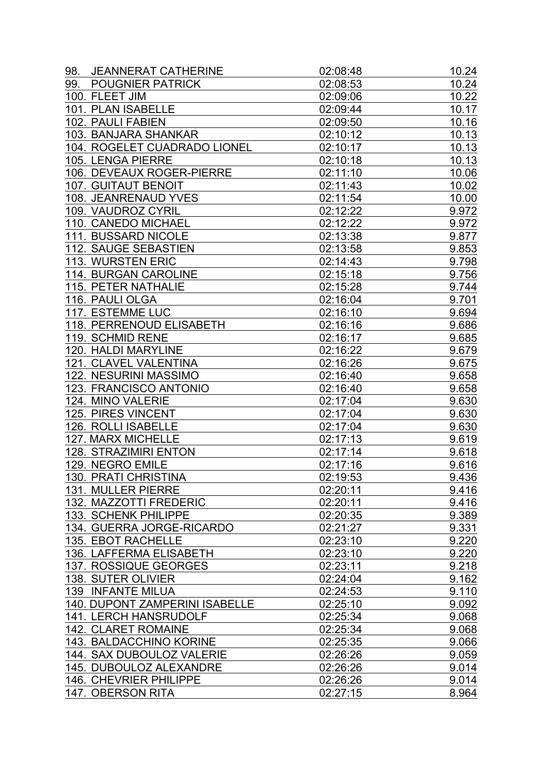| 98. | <b>JEANNERAT CATHERINE</b>                                 | 02:08:48             | 10.24 |
|-----|------------------------------------------------------------|----------------------|-------|
| 99. | <b>POUGNIER PATRICK</b>                                    | 02:08:53             | 10.24 |
|     | 100. FLEET JIM                                             | 02:09:06             | 10.22 |
|     | 101. PLAN ISABELLE                                         | 02:09:44             | 10.17 |
|     | 102. PAULI FABIEN                                          | 02:09:50             | 10.16 |
|     | 103. BANJARA SHANKAR                                       | 02:10:12             | 10.13 |
|     | 104. ROGELET CUADRADO LIONEL                               | 02:10:17             | 10.13 |
|     | 105. LENGA PIERRE                                          | 02:10:18             | 10.13 |
|     | 106. DEVEAUX ROGER-PIERRE                                  | 02:11:10             | 10.06 |
|     | <b>107. GUITAUT BENOIT</b>                                 | 02:11:43             | 10.02 |
|     | 108. JEANRENAUD YVES                                       | 02:11:54             | 10.00 |
|     | 109. VAUDROZ CYRIL                                         | 02:12:22             | 9.972 |
|     | 110. CANEDO MICHAEL                                        | 02:12:22             | 9.972 |
|     | 111. BUSSARD NICOLE                                        | 02:13:38             | 9.877 |
|     | 112. SAUGE SEBASTIEN                                       | 02:13:58             | 9.853 |
|     | 113. WURSTEN ERIC                                          | 02:14:43             | 9.798 |
|     | 114. BURGAN CAROLINE                                       | 02:15:18             | 9.756 |
|     | 115. PETER NATHALIE                                        | 02:15:28             | 9.744 |
|     | 116. PAULI OLGA                                            | 02:16:04             | 9.701 |
|     | 117. ESTEMME LUC                                           | 02:16:10             | 9.694 |
|     | 118. PERRENOUD ELISABETH                                   | 02:16:16             | 9.686 |
|     | 119. SCHMID RENE                                           | 02:16:17             | 9.685 |
|     | 120. HALDI MARYLINE                                        | 02:16:22             | 9.679 |
|     | 121. CLAVEL VALENTINA                                      | 02:16:26             | 9.675 |
|     | 122. NESURINI MASSIMO                                      | 02:16:40             | 9.658 |
|     | 123. FRANCISCO ANTONIO                                     | 02:16:40             | 9.658 |
|     | 124. MINO VALERIE                                          | 02:17:04             | 9.630 |
|     | 125. PIRES VINCENT                                         | 02:17:04             | 9.630 |
|     | 126. ROLLI ISABELLE                                        | 02:17:04             | 9.630 |
|     | 127. MARX MICHELLE                                         | 02:17:13             | 9.619 |
|     | <b>128. STRAZIMIRI ENTON</b>                               | 02:17:14             | 9.618 |
|     | 129. NEGRO EMILE                                           | 02:17:16             | 9.616 |
|     | 130. PRATI CHRISTINA                                       | 02:19:53             | 9.436 |
|     | 131. MULLER PIERRE                                         | 02:20:11             | 9.416 |
|     | 132. MAZZOTTI FREDERIC                                     | 02:20:11             | 9.416 |
|     | 133. SCHENK PHILIPPE                                       | 02:20:35             | 9.389 |
|     | 134. GUERRA JORGE-RICARDO                                  | 02:21:27             | 9.331 |
|     | <b>135. EBOT RACHELLE</b>                                  | 02:23:10             | 9.220 |
|     | 136. LAFFERMA ELISABETH                                    | 02:23:10             | 9.220 |
|     | 137. ROSSIQUE GEORGES                                      | 02:23:11             | 9.218 |
|     | 138. SUTER OLIVIER                                         | 02:24:04             |       |
|     |                                                            |                      | 9.162 |
|     | 139 INFANTE MILUA<br><b>140. DUPONT ZAMPERINI ISABELLE</b> | 02:24:53<br>02:25:10 | 9.110 |
|     |                                                            |                      | 9.092 |
|     | <b>141. LERCH HANSRUDOLF</b>                               | 02:25:34             | 9.068 |
|     | <b>142. CLARET ROMAINE</b>                                 | 02:25:34             | 9.068 |
|     | 143. BALDACCHINO KORINE                                    | 02:25:35             | 9.066 |
|     | 144. SAX DUBOULOZ VALERIE                                  | 02:26:26             | 9.059 |
|     | 145. DUBOULOZ ALEXANDRE                                    | 02:26:26             | 9.014 |
|     | 146. CHEVRIER PHILIPPE                                     | 02:26:26             | 9.014 |
|     | 147. OBERSON RITA                                          | 02:27:15             | 8.964 |